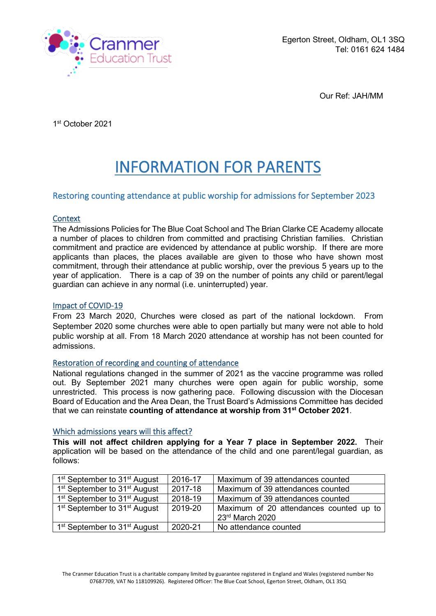

Our Ref: JAH/MM

1st October 2021

# INFORMATION FOR PARENTS

## Restoring counting attendance at public worship for admissions for September 2023

## **Context**

The Admissions Policies for The Blue Coat School and The Brian Clarke CE Academy allocate a number of places to children from committed and practising Christian families. Christian commitment and practice are evidenced by attendance at public worship. If there are more applicants than places, the places available are given to those who have shown most commitment, through their attendance at public worship, over the previous 5 years up to the year of application. There is a cap of 39 on the number of points any child or parent/legal guardian can achieve in any normal (i.e. uninterrupted) year.

## Impact of COVID-19

From 23 March 2020, Churches were closed as part of the national lockdown. From September 2020 some churches were able to open partially but many were not able to hold public worship at all. From 18 March 2020 attendance at worship has not been counted for admissions.

## Restoration of recording and counting of attendance

National regulations changed in the summer of 2021 as the vaccine programme was rolled out. By September 2021 many churches were open again for public worship, some unrestricted. This process is now gathering pace. Following discussion with the Diocesan Board of Education and the Area Dean, the Trust Board's Admissions Committee has decided that we can reinstate **counting of attendance at worship from 31st October 2021**.

#### Which admissions years will this affect?

**This will not affect children applying for a Year 7 place in September 2022.** Their application will be based on the attendance of the child and one parent/legal guardian, as follows:

| 1 <sup>st</sup> September to 31 <sup>st</sup> August | 2016-17 | Maximum of 39 attendances counted                          |
|------------------------------------------------------|---------|------------------------------------------------------------|
| 1 <sup>st</sup> September to 31 <sup>st</sup> August | 2017-18 | Maximum of 39 attendances counted                          |
| 1 <sup>st</sup> September to 31 <sup>st</sup> August | 2018-19 | Maximum of 39 attendances counted                          |
| 1 <sup>st</sup> September to 31 <sup>st</sup> August | 2019-20 | Maximum of 20 attendances counted up to<br>23rd March 2020 |
| 1 <sup>st</sup> September to 31 <sup>st</sup> August | 2020-21 | No attendance counted                                      |